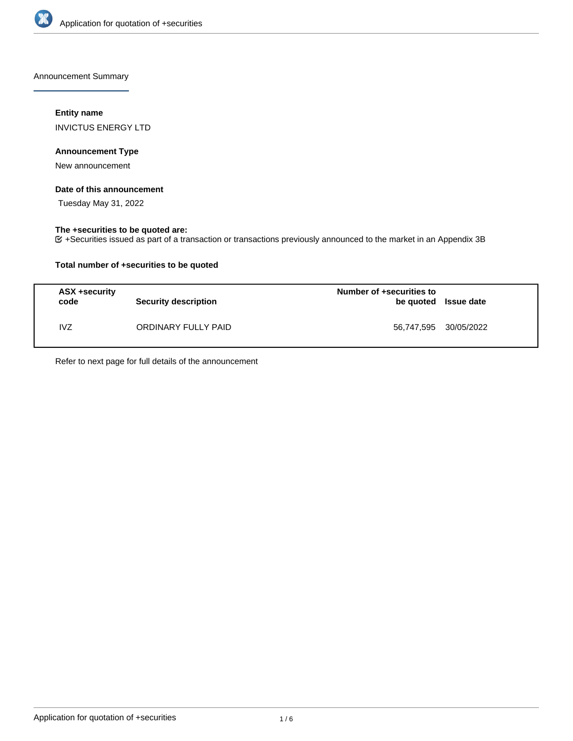

Announcement Summary

# **Entity name**

INVICTUS ENERGY LTD

# **Announcement Type**

New announcement

## **Date of this announcement**

Tuesday May 31, 2022

# **The +securities to be quoted are:**

+Securities issued as part of a transaction or transactions previously announced to the market in an Appendix 3B

# **Total number of +securities to be quoted**

| ASX +security<br>code | <b>Security description</b> | Number of +securities to<br>be quoted Issue date |  |
|-----------------------|-----------------------------|--------------------------------------------------|--|
| <b>IVZ</b>            | ORDINARY FULLY PAID         | 56,747,595 30/05/2022                            |  |

Refer to next page for full details of the announcement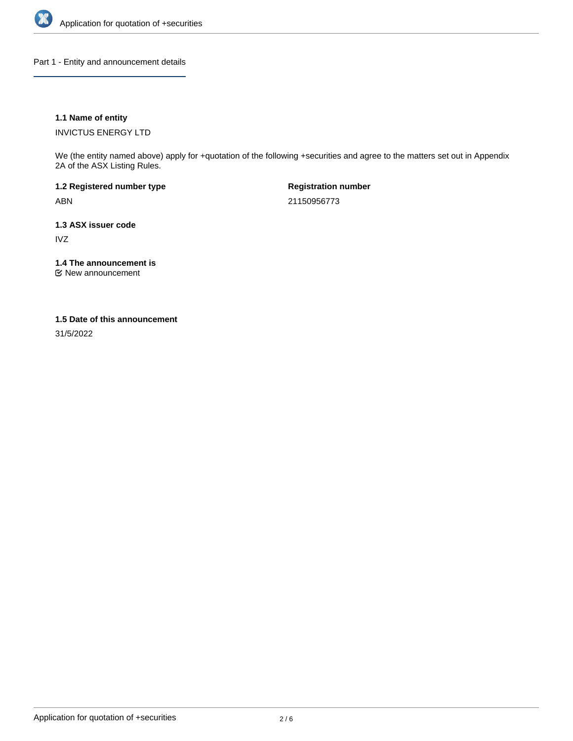

Part 1 - Entity and announcement details

# **1.1 Name of entity**

INVICTUS ENERGY LTD

We (the entity named above) apply for +quotation of the following +securities and agree to the matters set out in Appendix 2A of the ASX Listing Rules.

**1.2 Registered number type** ABN

**Registration number** 21150956773

**1.3 ASX issuer code** IVZ

**1.4 The announcement is**

New announcement

### **1.5 Date of this announcement**

31/5/2022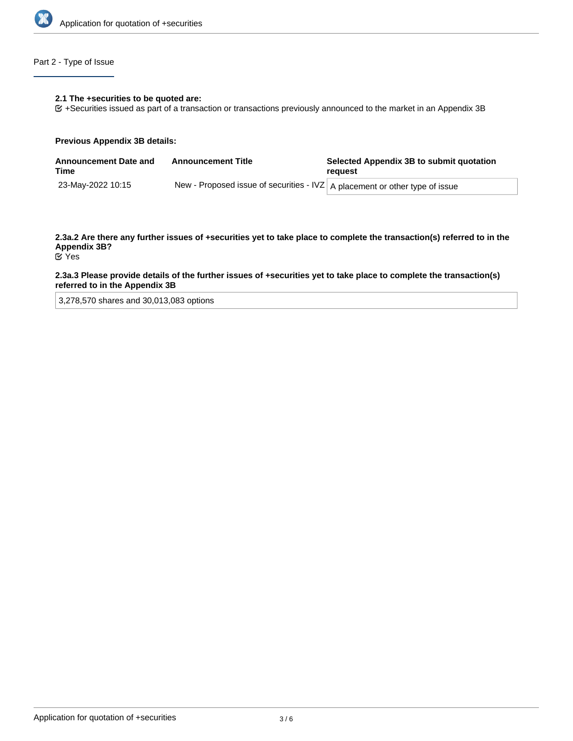

# Part 2 - Type of Issue

#### **2.1 The +securities to be quoted are:**

+Securities issued as part of a transaction or transactions previously announced to the market in an Appendix 3B

#### **Previous Appendix 3B details:**

| <b>Announcement Date and</b><br>Time | <b>Announcement Title</b>                                                      | Selected Appendix 3B to submit quotation<br>reauest |
|--------------------------------------|--------------------------------------------------------------------------------|-----------------------------------------------------|
| 23-May-2022 10:15                    | New - Proposed issue of securities - IVZ $ A$ placement or other type of issue |                                                     |

**2.3a.2 Are there any further issues of +securities yet to take place to complete the transaction(s) referred to in the Appendix 3B?** Yes

# **2.3a.3 Please provide details of the further issues of +securities yet to take place to complete the transaction(s) referred to in the Appendix 3B**

3,278,570 shares and 30,013,083 options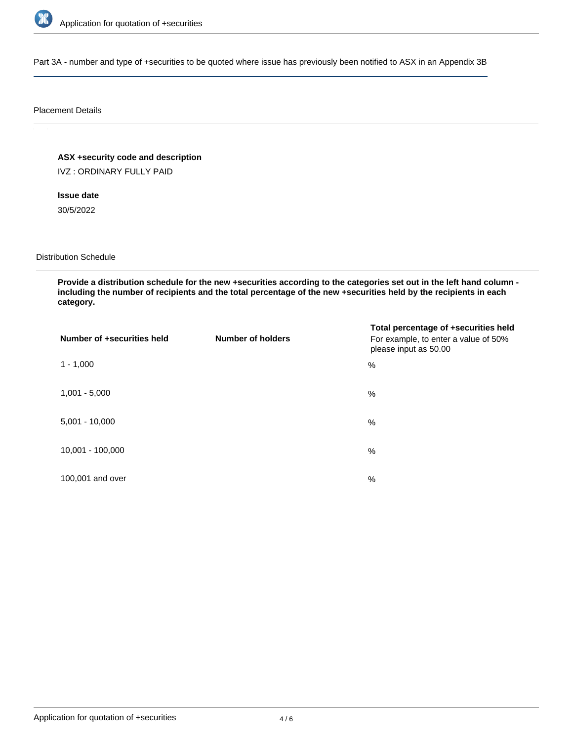

Part 3A - number and type of +securities to be quoted where issue has previously been notified to ASX in an Appendix 3B

### Placement Details

**ASX +security code and description**

IVZ : ORDINARY FULLY PAID

**Issue date**

30/5/2022

Distribution Schedule

**Provide a distribution schedule for the new +securities according to the categories set out in the left hand column including the number of recipients and the total percentage of the new +securities held by the recipients in each category.**

| Number of +securities held | <b>Number of holders</b> | Total percentage of +securities held<br>For example, to enter a value of 50%<br>please input as 50.00 |
|----------------------------|--------------------------|-------------------------------------------------------------------------------------------------------|
| $1 - 1,000$                |                          | %                                                                                                     |
| $1,001 - 5,000$            |                          | $\%$                                                                                                  |
| $5,001 - 10,000$           |                          | %                                                                                                     |
| 10,001 - 100,000           |                          | $\%$                                                                                                  |
| 100,001 and over           |                          | $\%$                                                                                                  |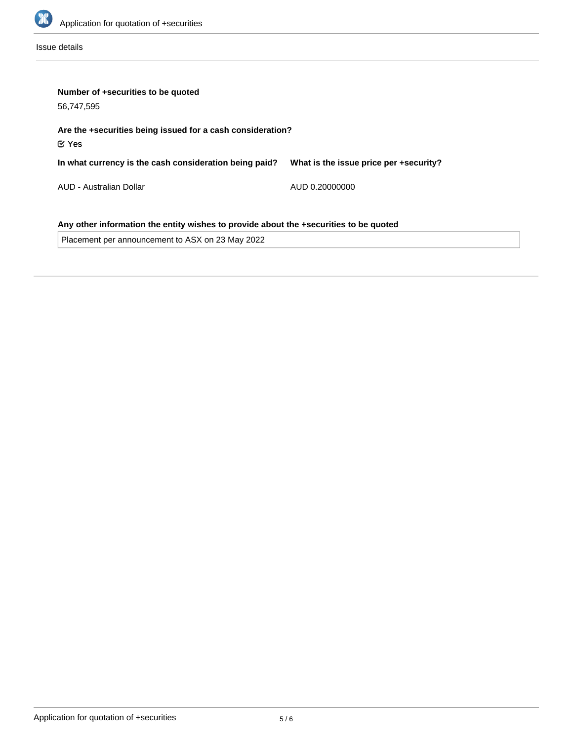

Issue details

| Number of +securities to be quoted<br>56,747,595                                      |                                        |  |  |  |
|---------------------------------------------------------------------------------------|----------------------------------------|--|--|--|
| Are the +securities being issued for a cash consideration?<br>$\mathfrak C$ Yes       |                                        |  |  |  |
| In what currency is the cash consideration being paid?                                | What is the issue price per +security? |  |  |  |
| AUD - Australian Dollar                                                               | AUD 0.20000000                         |  |  |  |
| Any other information the entity wishes to provide about the +securities to be quoted |                                        |  |  |  |
| Placement per announcement to ASX on 23 May 2022                                      |                                        |  |  |  |